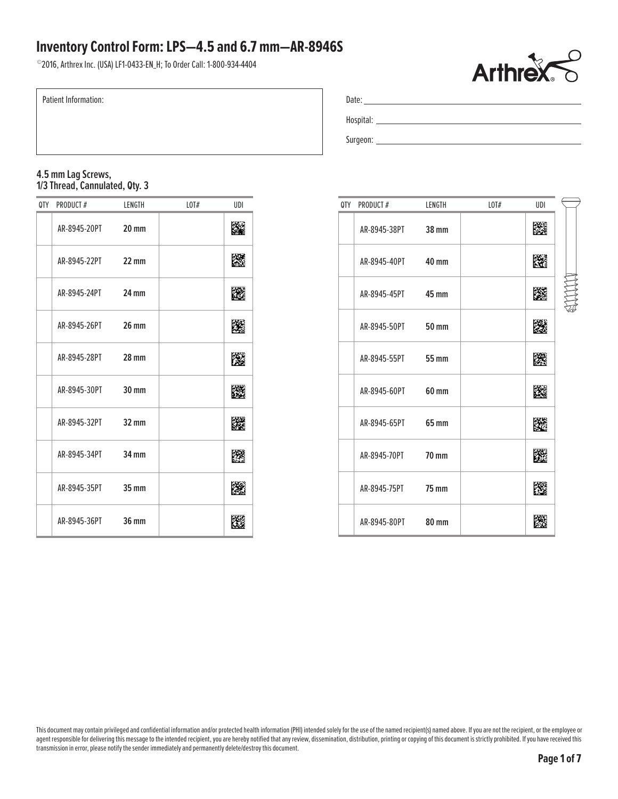©2016, Arthrex Inc. (USA) LF1-0433-EN\_H; To Order Call: 1-800-934-4404



| Patient Information:                                 |        |            |     |  | Date: |                 |                                                                                                                                                                                                                                |                  |     |  |  |
|------------------------------------------------------|--------|------------|-----|--|-------|-----------------|--------------------------------------------------------------------------------------------------------------------------------------------------------------------------------------------------------------------------------|------------------|-----|--|--|
|                                                      |        |            |     |  |       |                 | Hospital: the contract of the contract of the contract of the contract of the contract of the contract of the contract of the contract of the contract of the contract of the contract of the contract of the contract of the  |                  |     |  |  |
|                                                      |        |            |     |  |       |                 | Surgeon: New York Surgeon: New York Surgeon: New York Surgeon: New York Surgeon: New York Surgeon: New York Surgeon: New York Surgeon: New York Surgeon: New York Surgeon: New York Surgeon: New York Surgeon: New York Surgeo |                  |     |  |  |
|                                                      |        |            |     |  |       |                 |                                                                                                                                                                                                                                |                  |     |  |  |
| 4.5 mm Lag Screws,<br>1/3 Thread, Cannulated, Qty. 3 |        |            |     |  |       |                 |                                                                                                                                                                                                                                |                  |     |  |  |
| PRODUCT#<br>0TY                                      | LENGTH | $L$ OT $#$ | UDI |  | 0TY   | <b>PRODUCT#</b> | LENGTH                                                                                                                                                                                                                         | $L$ <sup>#</sup> | UDI |  |  |

### **4.5 mm Lag Screws, 1/3 Thread, Cannulated, Qty. 3**

| 0TY | PRODUCT#           | LENGTH          | LOT# | UDI |
|-----|--------------------|-----------------|------|-----|
|     | AR-8945-20PT 20 mm |                 |      |     |
|     | AR-8945-22PT       | $22 \text{ mm}$ |      | 縢   |
|     | AR-8945-24PT 24 mm |                 |      | K.  |
|     | AR-8945-26PT 26 mm |                 |      | K.  |
|     | AR-8945-28PT 28 mm |                 |      | KØ  |
|     | AR-8945-30PT 30 mm |                 |      | 腏   |
|     | AR-8945-32PT 32 mm |                 |      | 躒   |
|     | AR-8945-34PT 34 mm |                 |      | B   |
|     | AR-8945-35PT 35 mm |                 |      | K.  |
|     | AR-8945-36PT 36 mm |                 |      |     |

| 0TY | PRODUCT#           | LENGTH       | LOT# | UDI |  |
|-----|--------------------|--------------|------|-----|--|
|     | AR-8945-38PT 38 mm |              |      | 蹸   |  |
|     | AR-8945-40PT 40 mm |              |      | 躐   |  |
|     | AR-8945-45PT 45 mm |              |      | 縢   |  |
|     | AR-8945-50PT 50 mm |              |      | K   |  |
|     | AR-8945-55PT 55 mm |              |      | 躒   |  |
|     | AR-8945-60PT       | 60 mm        |      | 躖   |  |
|     | AR-8945-65PT       | 65 mm        |      | 躜   |  |
|     | AR-8945-70PT 70 mm |              |      | 蹨   |  |
|     | AR-8945-75PT 75 mm |              |      | 朡   |  |
|     | AR-8945-80PT       | <b>80 mm</b> |      |     |  |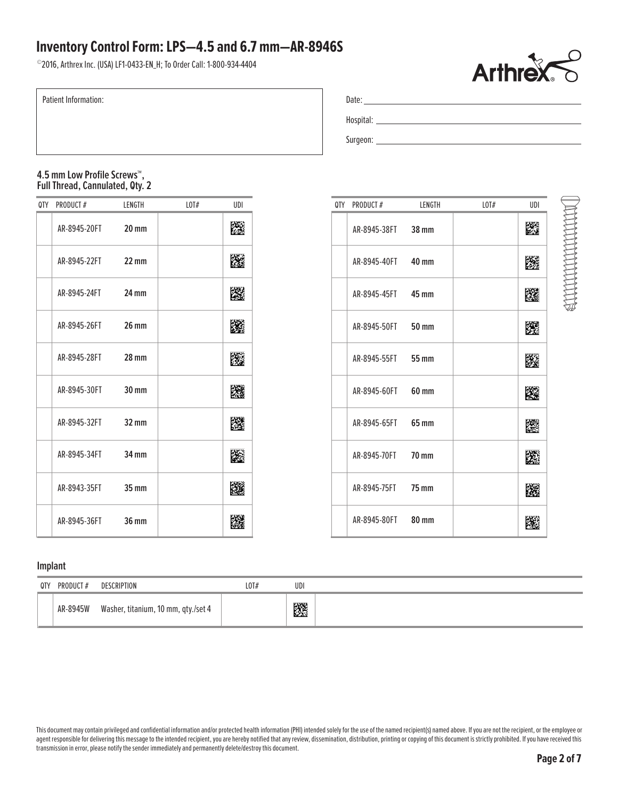©2016, Arthrex Inc. (USA) LF1-0433-EN\_H; To Order Call: 1-800-934-4404



ENNING THE STATE OF THE STATE OF THE STATE OF THE STATE OF THE STATE OF THE STATE OF THE STATE OF THE STATE OF

Patient Information:

### **4.5 mm Low Profile Screws™, Full Thread, Cannulated, Qty. 2**

| 0TY | PRODUCT#     | LENGTH            | LOT# | UDI |  | QTY PRODUCT# | LENGTH       | LOT# | UDI |
|-----|--------------|-------------------|------|-----|--|--------------|--------------|------|-----|
|     | AR-8945-20FT | $20 \, \text{mm}$ |      | 灐   |  | AR-8945-38FT | 38 mm        |      | Ľ.  |
|     | AR-8945-22FT | $22 \, \text{mm}$ |      | 躚   |  | AR-8945-40FT | 40 mm        |      | 医   |
|     | AR-8945-24FT | 24 mm             |      | 灐   |  | AR-8945-45FT | 45 mm        |      | 躩   |
|     | AR-8945-26FT | <b>26 mm</b>      |      | 躨   |  | AR-8945-50FT | 50 mm        |      | 躩   |
|     | AR-8945-28FT | $28 \text{ mm}$   |      | 躨   |  | AR-8945-55FT | <b>55 mm</b> |      | B.  |
|     | AR-8945-30FT | $30 \, \text{mm}$ |      | 躚   |  | AR-8945-60FT | 60 mm        |      | 蹊   |
|     | AR-8945-32FT | 32 mm             |      | 躩   |  | AR-8945-65FT | 65 mm        |      | 圞   |
|     | AR-8945-34FT | $34 \text{ mm}$   |      | 飈   |  | AR-8945-70FT | <b>70 mm</b> |      | p.  |
|     | AR-8943-35FT | $35 \text{ mm}$   |      | 鼷   |  | AR-8945-75FT | <b>75 mm</b> |      | 踐   |
|     | AR-8945-36FT | <b>36 mm</b>      |      | 龖   |  | AR-8945-80FT | 80 mm        |      | p.  |

| 0TY | PRODUCT#           | LENGTH | L0T# | UDI |
|-----|--------------------|--------|------|-----|
|     | AR-8945-38FT 38 mm |        |      | K   |
|     | AR-8945-40FT 40 mm |        |      |     |
|     | AR-8945-45FT 45 mm |        |      | K   |
|     | AR-8945-50FT 50 mm |        |      | 陵   |
|     | AR-8945-55FT 55 mm |        |      | W   |
|     | AR-8945-60FT 60 mm |        |      | 躞   |
|     | AR-8945-65FT 65 mm |        |      | K   |
|     | AR-8945-70FT 70 mm |        |      | 蹨   |
|     | AR-8945-75FT 75 mm |        |      |     |
|     | AR-8945-80FT 80 mm |        |      |     |

### **Implant**

| 0TY | <b>PRODUCT#</b> | DESCRIPTION                         | LOT# | UDI |  |
|-----|-----------------|-------------------------------------|------|-----|--|
|     | AR-8945W        | Washer, titanium, 10 mm, qty./set 4 |      | ▩   |  |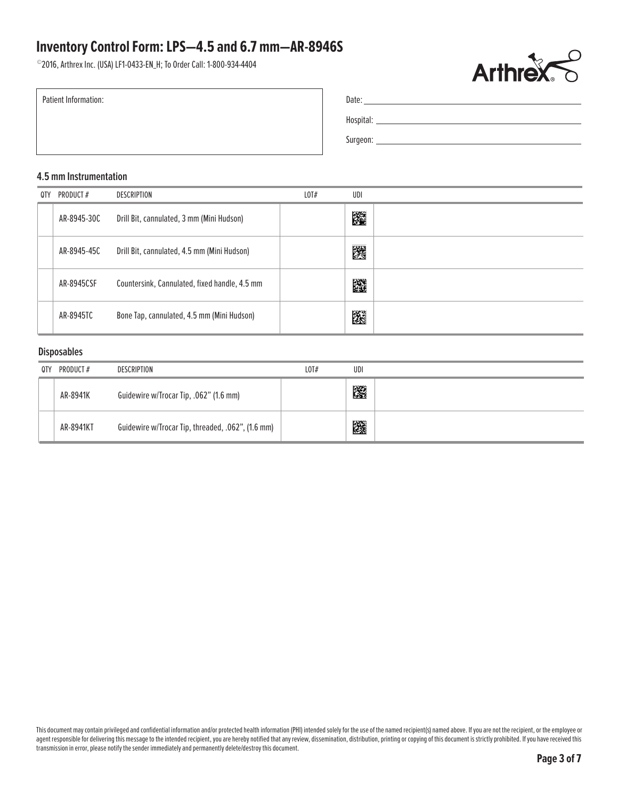©2016, Arthrex Inc. (USA) LF1-0433-EN\_H; To Order Call: 1-800-934-4404



Patient Information:

| Date:     |  |  |  |
|-----------|--|--|--|
| Hospital: |  |  |  |
| Surgeon:  |  |  |  |

#### **4.5 mm Instrumentation**

| 0TY | PRODUCT#    | DESCRIPTION                                   | LOT# | UDI |  |
|-----|-------------|-----------------------------------------------|------|-----|--|
|     | AR-8945-30C | Drill Bit, cannulated, 3 mm (Mini Hudson)     |      | 躩   |  |
|     | AR-8945-45C | Drill Bit, cannulated, 4.5 mm (Mini Hudson)   |      | 躩   |  |
|     | AR-8945CSF  | Countersink, Cannulated, fixed handle, 4.5 mm |      | 龖   |  |
|     | AR-8945TC   | Bone Tap, cannulated, 4.5 mm (Mini Hudson)    |      | 蹳   |  |

#### **Disposables**

| 0TY | PRODUCT # | DESCRIPTION                                       | LOT# | UDI |  |
|-----|-----------|---------------------------------------------------|------|-----|--|
|     | AR-8941K  | Guidewire w/Trocar Tip, .062" (1.6 mm)            |      | 躩   |  |
|     | AR-8941KT | Guidewire w/Trocar Tip, threaded, .062", (1.6 mm) |      | 躨   |  |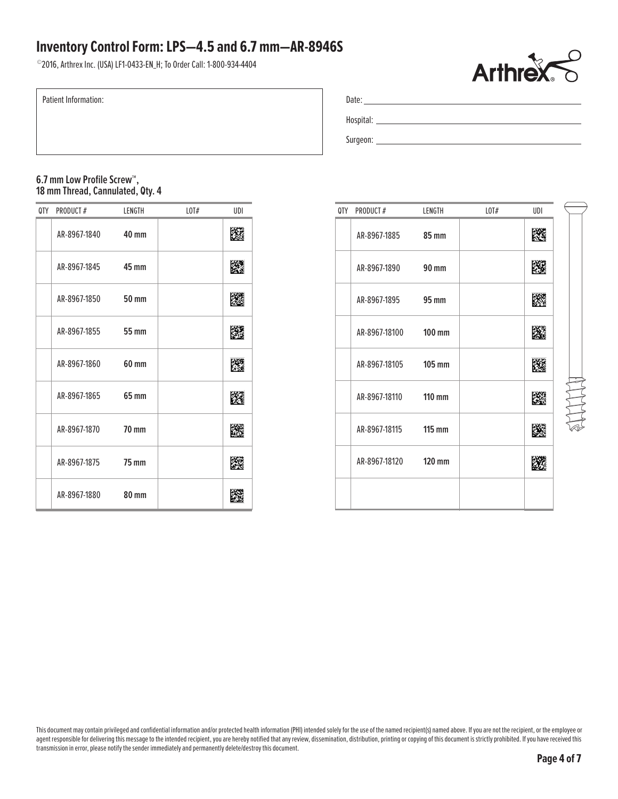©2016, Arthrex Inc. (USA) LF1-0433-EN\_H; To Order Call: 1-800-934-4404



Patient Information:

| Date:     |  |
|-----------|--|
| Hospital: |  |
| Surgeon:  |  |

### **6.7 mm Low Profile Screw™, 18 mm Thread, Cannulated, Qty. 4**

| 0TY | PRODUCT#     | LENGTH       | L0T# | UDI |  | QTY PRODUCT#  | LENGTH        | $L$ OT $#$ | UDI |
|-----|--------------|--------------|------|-----|--|---------------|---------------|------------|-----|
|     | AR-8967-1840 | 40 mm        |      | 躚   |  | AR-8967-1885  | <b>85 mm</b>  |            | 网   |
|     | AR-8967-1845 | 45 mm        |      | 灐   |  | AR-8967-1890  | <b>90 mm</b>  |            | Ľ   |
|     | AR-8967-1850 | <b>50 mm</b> |      | 躨   |  | AR-8967-1895  | 95 mm         |            | K   |
|     | AR-8967-1855 | 55 mm        |      | 躖   |  | AR-8967-18100 | $100$ mm      |            | 隆   |
|     | AR-8967-1860 | 60 mm        |      | 躩   |  | AR-8967-18105 | $105$ mm      |            | K   |
|     | AR-8967-1865 | 65 mm        |      | 躚   |  | AR-8967-18110 | $110$ mm      |            | 蹘   |
|     | AR-8967-1870 | <b>70 mm</b> |      | 躖   |  | AR-8967-18115 | <b>115 mm</b> |            | Ľ   |
|     | AR-8967-1875 | <b>75 mm</b> |      | 躩   |  | AR-8967-18120 | 120 mm        |            | Ľ.  |
|     | AR-8967-1880 | <b>80 mm</b> |      | 躖   |  |               |               |            |     |

| 0TY | PRODUCT#             | LENGTH | LOT# | UDI |  |
|-----|----------------------|--------|------|-----|--|
|     | AR-8967-1885 85 mm   |        |      | KG  |  |
|     | AR-8967-1890 90 mm   |        |      |     |  |
|     | AR-8967-1895 95 mm   |        |      | 蹨   |  |
|     | AR-8967-18100 100 mm |        |      | 83  |  |
|     | AR-8967-18105 105 mm |        |      | KØ  |  |
|     | AR-8967-18110 110 mm |        |      | 躒   |  |
|     | AR-8967-18115 115 mm |        |      | K.  |  |
|     | AR-8967-18120 120 mm |        |      |     |  |
|     |                      |        |      |     |  |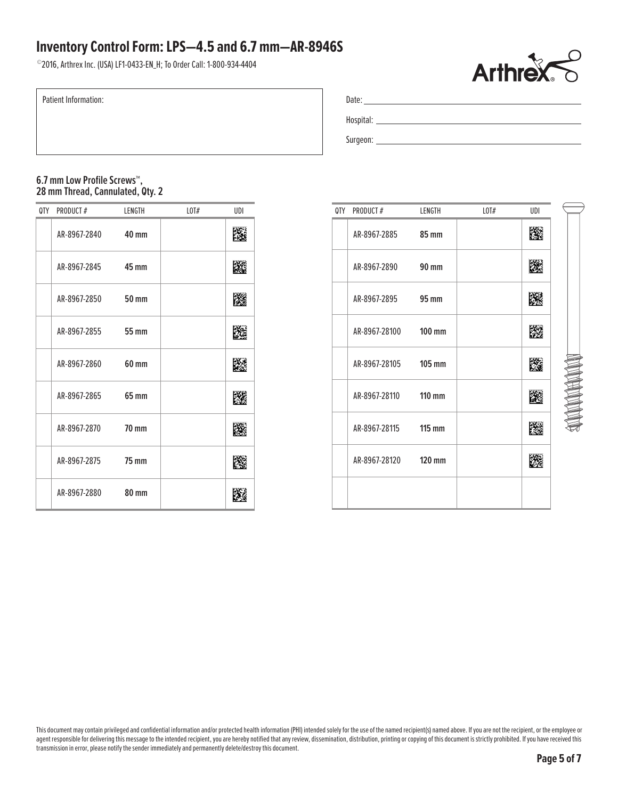©2016, Arthrex Inc. (USA) LF1-0433-EN\_H; To Order Call: 1-800-934-4404



Patient Information:

| Date:     |  |
|-----------|--|
| Hospital: |  |
| Surgeon:  |  |

**6.7 mm Low Profile Screws™, 28 mm Thread, Cannulated, Qty. 2**

| 0TY | PRODUCT#           | LENGTH       | L0T# | UDI |
|-----|--------------------|--------------|------|-----|
|     | AR-8967-2840       | 40 mm        |      |     |
|     | AR-8967-2845 45 mm |              |      | K.  |
|     | AR-8967-2850       | <b>50 mm</b> |      | m   |
|     | AR-8967-2855 55 mm |              |      |     |
|     | AR-8967-2860       | 60 mm        |      | K   |
|     | AR-8967-2865 65 mm |              |      | 蹨   |
|     | AR-8967-2870       | <b>70 mm</b> |      |     |
|     | AR-8967-2875       | <b>75 mm</b> |      | KØ  |
|     | AR-8967-2880       | <b>80 mm</b> |      |     |

| 0TY | PRODUCT#             | LENGTH | L0T# | UDI |
|-----|----------------------|--------|------|-----|
|     | AR-8967-2885 85 mm   |        |      | 隵   |
|     | AR-8967-2890 90 mm   |        |      | 隵   |
|     | AR-8967-2895 95 mm   |        |      | 臎   |
|     | AR-8967-28100 100 mm |        |      | 朥   |
|     | AR-8967-28105 105 mm |        |      | K.  |
|     | AR-8967-28110 110 mm |        |      | K.  |
|     | AR-8967-28115 115 mm |        |      |     |
|     | AR-8967-28120 120 mm |        |      |     |
|     |                      |        |      |     |

This document may contain privileged and confidential information and/or protected health information (PHI) intended solely for the use of the named recipient(s) named above. If you are not the recipient, or the employee o agent responsible for delivering this message to the intended recipient, you are hereby notified that any review, dissemination, distribution, printing or copying of this document is strictly prohibited. If you have receiv transmission in error, please notify the sender immediately and permanently delete/destroy this document.

**NON-ROOM**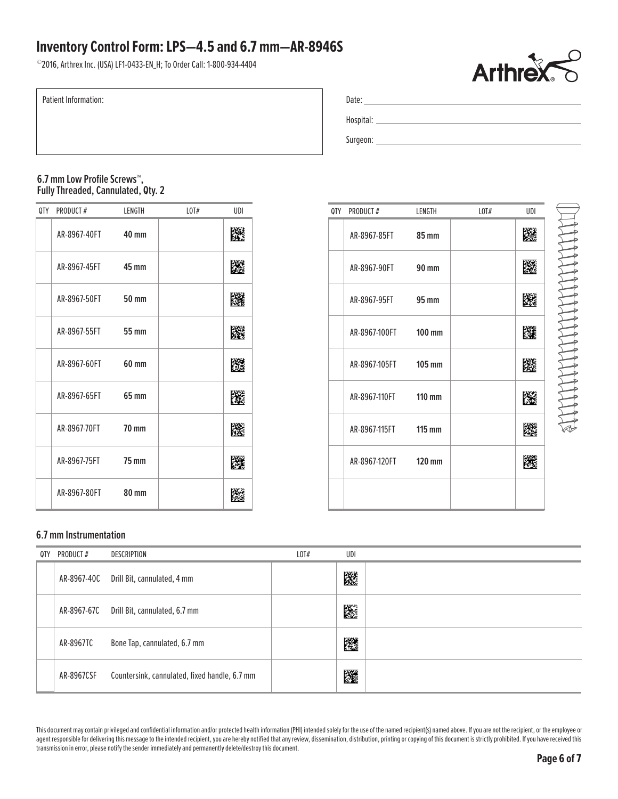©2016, Arthrex Inc. (USA) LF1-0433-EN\_H; To Order Call: 1-800-934-4404



**THE TEAM AND THE TEAM OF THE TEAM OF THE TEAM OF THE TEAM OF THE TEAM OF THE TEAM OF THE TEAM OF THE TEAM OF T** 

Patient Information:

| Date:     |  |
|-----------|--|
| Hospital: |  |
| Surgeon:  |  |

### **6.7 mm Low Profile Screws™, Fully Threaded, Cannulated, Qty. 2**

| 0TY | PRODUCT#     | LENGTH       | L0T# | UDI |
|-----|--------------|--------------|------|-----|
|     | AR-8967-40FT | 40 mm        |      | 飂   |
|     | AR-8967-45FT | 45 mm        |      | 灐   |
|     | AR-8967-50FT | 50 mm        |      | 躩   |
|     | AR-8967-55FT | <b>55 mm</b> |      | 躖   |
|     | AR-8967-60FT | 60 mm        |      | 躩   |
|     | AR-8967-65FT | 65 mm        |      | 躨   |
|     | AR-8967-70FT | <b>70 mm</b> |      | 躚   |
|     | AR-8967-75FT | <b>75 mm</b> |      | 躩   |
|     | AR-8967-80FT | <b>80 mm</b> |      | 躚   |

| 0TY | PRODUCT#             | LENGTH | L0T# | UDI |
|-----|----------------------|--------|------|-----|
|     | AR-8967-85FT 85 mm   |        |      | 降落  |
|     | AR-8967-90FT 90 mm   |        |      |     |
|     | AR-8967-95FT 95 mm   |        |      | 隧道  |
|     | AR-8967-100FT 100 mm |        |      | 階選  |
|     | AR-8967-105FT 105 mm |        |      | K.  |
|     | AR-8967-110FT 110 mm |        |      | 際   |
|     | AR-8967-115FT 115 mm |        |      |     |
|     | AR-8967-120FT 120 mm |        |      |     |
|     |                      |        |      |     |

### **6.7 mm Instrumentation**

| 0TY | PRODUCT#    | DESCRIPTION                                   | $L$ OT $#$ | UDI |  |
|-----|-------------|-----------------------------------------------|------------|-----|--|
|     | AR-8967-40C | Drill Bit, cannulated, 4 mm                   |            | 蹘   |  |
|     | AR-8967-67C | Drill Bit, cannulated, 6.7 mm                 |            | B   |  |
|     | AR-8967TC   | Bone Tap, cannulated, 6.7 mm                  |            | 躖   |  |
|     | AR-8967CSF  | Countersink, cannulated, fixed handle, 6.7 mm |            | 躚   |  |